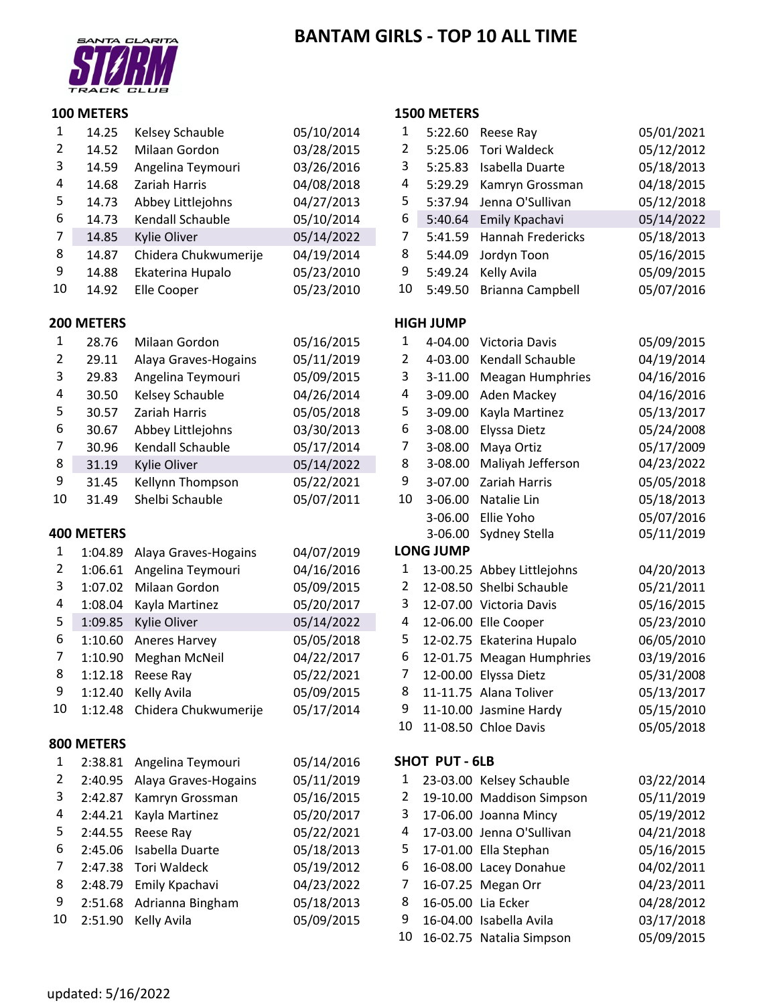# **BANTAM GIRLS ‐ TOP 10 ALL TIME**



#### **METERS**

| 1              | 14.25                                                       | Kelsey Schauble      | 05/10/2014                                                                                            | 1  | 5:22.60          | Reese Ray                                | 05/01/2021        |
|----------------|-------------------------------------------------------------|----------------------|-------------------------------------------------------------------------------------------------------|----|------------------|------------------------------------------|-------------------|
| $\overline{2}$ | 14.52                                                       | Milaan Gordon        | 03/28/2015                                                                                            | 2  | 5:25.06          | <b>Tori Waldeck</b>                      | 05/12/2012        |
| 3              | 14.59                                                       | Angelina Teymouri    | 03/26/2016                                                                                            | 3  | 5:25.83          | Isabella Duarte                          | 05/18/2013        |
| 4              | 14.68                                                       | Zariah Harris        | 04/08/2018                                                                                            | 4  | 5:29.29          | Kamryn Grossman                          | 04/18/2015        |
| 5              | 14.73                                                       | Abbey Littlejohns    | 04/27/2013                                                                                            | 5  | 5:37.94          | Jenna O'Sullivan                         | 05/12/2018        |
| 6              | 14.73                                                       | Kendall Schauble     | 05/10/2014                                                                                            | 6  | 5:40.64          | Emily Kpachavi                           | 05/14/2022        |
| 7              | 14.85                                                       | Kylie Oliver         | 05/14/2022                                                                                            | 7  | 5:41.59          | <b>Hannah Fredericks</b>                 | 05/18/2013        |
| 8              | 14.87                                                       | Chidera Chukwumerije | 04/19/2014                                                                                            | 8  | 5:44.09          | Jordyn Toon                              | 05/16/2015        |
| 9              | 14.88                                                       | Ekaterina Hupalo     | 05/23/2010                                                                                            | 9  | 5:49.24          | Kelly Avila                              | 05/09/2015        |
| 10             | 14.92                                                       | Elle Cooper          | 05/23/2010                                                                                            | 10 | 5:49.50          | Brianna Campbell                         | 05/07/2016        |
|                | 200 METERS                                                  |                      |                                                                                                       |    | <b>HIGH JUMP</b> |                                          |                   |
| 1              | 28.76                                                       | Milaan Gordon        | 05/16/2015                                                                                            | 1  | 4-04.00          | Victoria Davis                           | 05/09/2015        |
| 2              | 29.11                                                       | Alaya Graves-Hogains | 05/11/2019                                                                                            | 2  | 4-03.00          | Kendall Schauble                         | 04/19/2014        |
| 3              | 29.83                                                       | Angelina Teymouri    | 05/09/2015                                                                                            | 3  | 3-11.00          | <b>Meagan Humphries</b>                  | 04/16/2016        |
| 4              | 30.50                                                       | Kelsey Schauble      | 04/26/2014                                                                                            | 4  | 3-09.00          | Aden Mackey                              | 04/16/2016        |
| 5              | 30.57                                                       | Zariah Harris        | 05/05/2018                                                                                            | 5  | 3-09.00          | Kayla Martinez                           | 05/13/2017        |
| 6              | 30.67                                                       | Abbey Littlejohns    | 03/30/2013                                                                                            | 6  | 3-08.00          | Elyssa Dietz                             | 05/24/2008        |
| 7              | 30.96                                                       | Kendall Schauble     | 05/17/2014                                                                                            | 7  | 3-08.00          | Maya Ortiz                               | 05/17/2009        |
| 8              | 31.19                                                       | Kylie Oliver         | 05/14/2022                                                                                            | 8  | 3-08.00          | Maliyah Jefferson                        | 04/23/2022        |
| 9              | 31.45                                                       | Kellynn Thompson     | 05/22/2021                                                                                            | 9  | 3-07.00          | Zariah Harris                            | 05/05/2018        |
| 10             | 31.49                                                       | Shelbi Schauble      | 05/07/2011                                                                                            | 10 | 3-06.00          | Natalie Lin                              | 05/18/2013        |
|                |                                                             |                      |                                                                                                       |    | 3-06.00          | Ellie Yoho                               | 05/07/2016        |
|                | <b>400 METERS</b>                                           |                      |                                                                                                       |    | 3-06.00          | Sydney Stella                            | 05/11/2019        |
| 1              | 1:04.89                                                     | Alaya Graves-Hogains | 04/07/2019                                                                                            |    | <b>LONG JUMP</b> |                                          |                   |
| 2              | 1:06.61                                                     | Angelina Teymouri    | 04/16/2016                                                                                            | 1  |                  | 13-00.25 Abbey Littlejohns               | 04/20/2013        |
| 3              | 1:07.02                                                     | Milaan Gordon        | 05/09/2015                                                                                            | 2  |                  | 12-08.50 Shelbi Schauble                 | 05/21/2011        |
|                | $\overline{a}$ $\overline{a}$ $\overline{a}$ $\overline{a}$ |                      | $00$ $(00)(00)(00)(00)(00)(00)(00)(00)(00)(00)(00)(00)(00)(00)(00)(00)(00)(00)(00)(00)(00)(00)(00)(0$ |    |                  | $\overline{10.0700}$ $\overline{10.100}$ | $0 - \frac{1}{2}$ |

| 4  | 1:08.04 Kayla Martinez       | 05/20/2017 |
|----|------------------------------|------------|
| 5  | 1:09.85 Kylie Oliver         | 05/14/2022 |
| 6  | 1:10.60 Aneres Harvey        | 05/05/2018 |
| 7  | 1:10.90 Meghan McNeil        | 04/22/2017 |
| 8  | 1:12.18 Reese Ray            | 05/22/2021 |
| 9  | 1:12.40 Kelly Avila          | 05/09/2015 |
| 10 | 1:12.48 Chidera Chukwumerije | 05/17/2014 |

#### **METERS**

|   | 1 2:38.81 Angelina Teymouri  | 05/14/2016 | SHOT PUT-6LB                   |            |
|---|------------------------------|------------|--------------------------------|------------|
| 2 | 2:40.95 Alaya Graves-Hogains | 05/11/2019 | 23-03.00 Kelsey Schauble<br>1  | 03/22/2014 |
| 3 | 2:42.87 Kamryn Grossman      | 05/16/2015 | 19-10.00 Maddison Simpson<br>2 | 05/11/2019 |
| 4 | 2:44.21 Kayla Martinez       | 05/20/2017 | 3 17-06.00 Joanna Mincy        | 05/19/2012 |
| 5 | $2:44.55$ Reese Ray          | 05/22/2021 | 4 17-03.00 Jenna O'Sullivan    | 04/21/2018 |
| 6 | 2:45.06 Isabella Duarte      | 05/18/2013 | 5 17-01.00 Ella Stephan        | 05/16/2015 |
| 7 | 2:47.38 Tori Waldeck         | 05/19/2012 | 6<br>16-08.00 Lacey Donahue    | 04/02/2011 |
| 8 | 2:48.79 Emily Kpachavi       | 04/23/2022 | 16-07.25 Megan Orr<br>7        | 04/23/2011 |
| 9 | 2:51.68 Adrianna Bingham     | 05/18/2013 | 8<br>16-05.00 Lia Ecker        | 04/28/2012 |
|   | 10 2:51.90 Kelly Avila       | 05/09/2015 | 9<br>16-04.00 Isabella Avila   | 03/17/2018 |

#### **METERS**

| $\mathbf 1$             | 14.25     | Kelsey Schauble              | 05/10/2014 | 1                       | 5:22.60          | Reese Ray                  | 05/01/2021 |
|-------------------------|-----------|------------------------------|------------|-------------------------|------------------|----------------------------|------------|
| $\overline{\mathbf{c}}$ | 14.52     | Milaan Gordon                | 03/28/2015 | $\overline{2}$          | 5:25.06          | <b>Tori Waldeck</b>        | 05/12/2012 |
| 3                       | 14.59     | Angelina Teymouri            | 03/26/2016 | 3                       | 5:25.83          | Isabella Duarte            | 05/18/2013 |
| 4                       | 14.68     | Zariah Harris                | 04/08/2018 | 4                       | 5:29.29          | Kamryn Grossman            | 04/18/2015 |
| 5                       | 14.73     | Abbey Littlejohns            | 04/27/2013 | 5                       | 5:37.94          | Jenna O'Sullivan           | 05/12/2018 |
| 6                       | 14.73     | Kendall Schauble             | 05/10/2014 | 6                       | 5:40.64          | Emily Kpachavi             | 05/14/2022 |
| 7                       | 14.85     | Kylie Oliver                 | 05/14/2022 | 7                       | 5:41.59          | Hannah Fredericks          | 05/18/2013 |
| 8                       | 14.87     | Chidera Chukwumerije         | 04/19/2014 | 8                       | 5:44.09          | Jordyn Toon                | 05/16/2015 |
| 9                       | 14.88     | Ekaterina Hupalo             | 05/23/2010 | 9                       | 5:49.24          | Kelly Avila                | 05/09/2015 |
| LO                      | 14.92     | Elle Cooper                  | 05/23/2010 | 10                      | 5:49.50          | Brianna Campbell           | 05/07/2016 |
|                         | 00 METERS |                              |            |                         | <b>HIGH JUMP</b> |                            |            |
| $\mathbf 1$             | 28.76     | Milaan Gordon                | 05/16/2015 | $\mathbf{1}$            | 4-04.00          | Victoria Davis             | 05/09/2015 |
| $\overline{\mathbf{c}}$ | 29.11     | Alaya Graves-Hogains         | 05/11/2019 | 2                       | 4-03.00          | Kendall Schauble           | 04/19/2014 |
| 3                       | 29.83     | Angelina Teymouri            | 05/09/2015 | 3                       | $3-11.00$        | Meagan Humphries           | 04/16/2016 |
| 4                       | 30.50     | Kelsey Schauble              | 04/26/2014 | 4                       | 3-09.00          | Aden Mackey                | 04/16/2016 |
| 5                       | 30.57     | Zariah Harris                | 05/05/2018 | 5                       | 3-09.00          | Kayla Martinez             | 05/13/2017 |
| 6                       | 30.67     | Abbey Littlejohns            | 03/30/2013 | 6                       | 3-08.00          | Elyssa Dietz               | 05/24/2008 |
| 7                       | 30.96     | Kendall Schauble             | 05/17/2014 | $\boldsymbol{7}$        | 3-08.00          | Maya Ortiz                 | 05/17/2009 |
| 8                       | 31.19     | Kylie Oliver                 | 05/14/2022 | 8                       | 3-08.00          | Maliyah Jefferson          | 04/23/2022 |
| 9                       | 31.45     | Kellynn Thompson             | 05/22/2021 | 9                       | 3-07.00          | Zariah Harris              | 05/05/2018 |
| LO                      | 31.49     | Shelbi Schauble              | 05/07/2011 | 10                      | 3-06.00          | Natalie Lin                | 05/18/2013 |
|                         |           |                              |            |                         | 3-06.00          | Ellie Yoho                 | 05/07/2016 |
|                         | 00 METERS |                              |            |                         | 3-06.00          | Sydney Stella              | 05/11/2019 |
| $\mathbf{1}$            | 1:04.89   | Alaya Graves-Hogains         | 04/07/2019 |                         | <b>LONG JUMP</b> |                            |            |
| $\overline{\mathbf{c}}$ | 1:06.61   | Angelina Teymouri            | 04/16/2016 | 1                       |                  | 13-00.25 Abbey Littlejohns | 04/20/2013 |
| 3                       | 1:07.02   | Milaan Gordon                | 05/09/2015 | $\overline{\mathbf{c}}$ |                  | 12-08.50 Shelbi Schauble   | 05/21/2011 |
| 4                       | 1:08.04   | Kayla Martinez               | 05/20/2017 | 3                       |                  | 12-07.00 Victoria Davis    | 05/16/2015 |
| 5                       | 1:09.85   | Kylie Oliver                 | 05/14/2022 | $\pmb{4}$               |                  | 12-06.00 Elle Cooper       | 05/23/2010 |
| 6                       | 1:10.60   | Aneres Harvey                | 05/05/2018 | 5                       |                  | 12-02.75 Ekaterina Hupalo  | 06/05/2010 |
| 7                       | 1:10.90   | Meghan McNeil                | 04/22/2017 | 6                       |                  | 12-01.75 Meagan Humphries  | 03/19/2016 |
| 8                       | 1:12.18   | Reese Ray                    | 05/22/2021 | 7                       |                  | 12-00.00 Elyssa Dietz      | 05/31/2008 |
| 9                       | 1:12.40   | Kelly Avila                  | 05/09/2015 | $\bf 8$                 |                  | 11-11.75 Alana Toliver     | 05/13/2017 |
| LO                      | 1:12.48   | Chidera Chukwumerije         | 05/17/2014 | 9                       |                  | 11-10.00 Jasmine Hardy     | 05/15/2010 |
|                         |           |                              |            | 10                      |                  | 11-08.50 Chloe Davis       | 05/05/2018 |
|                         | 00 METERS |                              |            |                         |                  |                            |            |
| 1                       | 2:38.81   | Angelina Teymouri            | 05/14/2016 |                         | SHOT PUT - 6LB   |                            |            |
| C                       |           | 2:40.05 Alave Graves-Horains | 05/11/2010 |                         |                  | 1 23-03.00 Kelsey Schauble | 03/22/2014 |

| 1              | 23-03.00 Kelsey Schauble  | 03/22/2014 |
|----------------|---------------------------|------------|
| $\overline{2}$ | 19-10.00 Maddison Simpson | 05/11/2019 |
| $\mathbf{3}$   | 17-06.00 Joanna Mincy     | 05/19/2012 |
| 4              | 17-03.00 Jenna O'Sullivan | 04/21/2018 |
| 5              | 17-01.00 Ella Stephan     | 05/16/2015 |
| 6              | 16-08.00 Lacey Donahue    | 04/02/2011 |
| 7              | 16-07.25 Megan Orr        | 04/23/2011 |
| 8              | 16-05.00 Lia Ecker        | 04/28/2012 |
| 9              | 16-04.00 Isabella Avila   | 03/17/2018 |
| 10             | 16-02.75 Natalia Simpson  | 05/09/2015 |